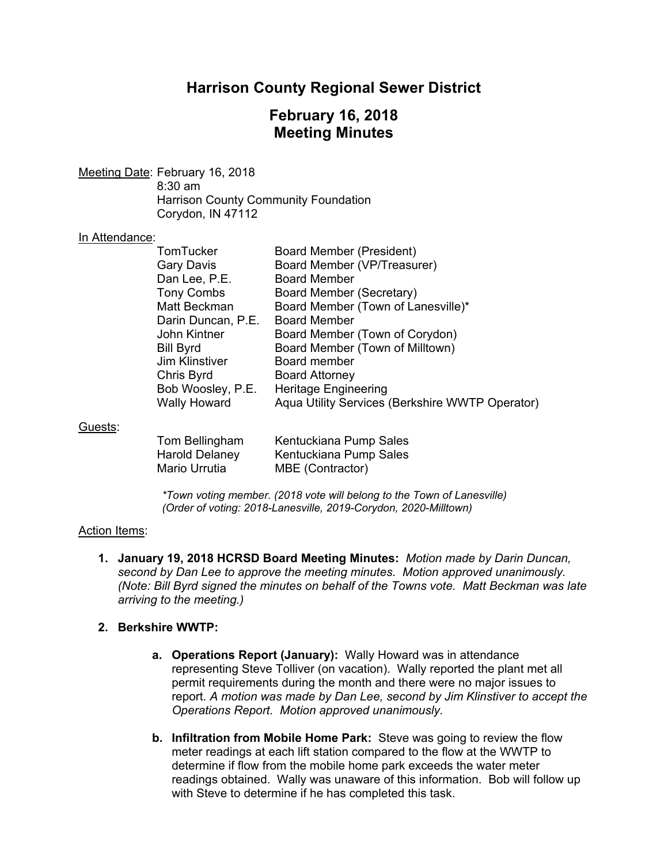## **Harrison County Regional Sewer District**

## **February 16, 2018 Meeting Minutes**

Meeting Date: February 16, 2018 8:30 am Harrison County Community Foundation Corydon, IN 47112

#### In Attendance:

| TomTucker          | <b>Board Member (President)</b>                 |
|--------------------|-------------------------------------------------|
| Gary Davis         | Board Member (VP/Treasurer)                     |
| Dan Lee, P.E.      | <b>Board Member</b>                             |
| <b>Tony Combs</b>  | Board Member (Secretary)                        |
| Matt Beckman       | Board Member (Town of Lanesville)*              |
| Darin Duncan, P.E. | <b>Board Member</b>                             |
| John Kintner       | Board Member (Town of Corydon)                  |
| Bill Byrd          | Board Member (Town of Milltown)                 |
| Jim Klinstiver     | Board member                                    |
| Chris Byrd         | <b>Board Attorney</b>                           |
| Bob Woosley, P.E.  | <b>Heritage Engineering</b>                     |
| Wally Howard       | Aqua Utility Services (Berkshire WWTP Operator) |

#### Guests:

| Tom Bellingham        | Kentuckiana Pump Sales |
|-----------------------|------------------------|
| <b>Harold Delaney</b> | Kentuckiana Pump Sales |
| Mario Urrutia         | MBE (Contractor)       |

*\*Town voting member. (2018 vote will belong to the Town of Lanesville) (Order of voting: 2018-Lanesville, 2019-Corydon, 2020-Milltown)* 

### Action Items:

**1. January 19, 2018 HCRSD Board Meeting Minutes:** *Motion made by Darin Duncan, second by Dan Lee to approve the meeting minutes. Motion approved unanimously. (Note: Bill Byrd signed the minutes on behalf of the Towns vote. Matt Beckman was late arriving to the meeting.)*

### **2. Berkshire WWTP:**

- **a. Operations Report (January):** Wally Howard was in attendance representing Steve Tolliver (on vacation). Wally reported the plant met all permit requirements during the month and there were no major issues to report. *A motion was made by Dan Lee, second by Jim Klinstiver to accept the Operations Report. Motion approved unanimously.*
- **b. Infiltration from Mobile Home Park:** Steve was going to review the flow meter readings at each lift station compared to the flow at the WWTP to determine if flow from the mobile home park exceeds the water meter readings obtained. Wally was unaware of this information. Bob will follow up with Steve to determine if he has completed this task.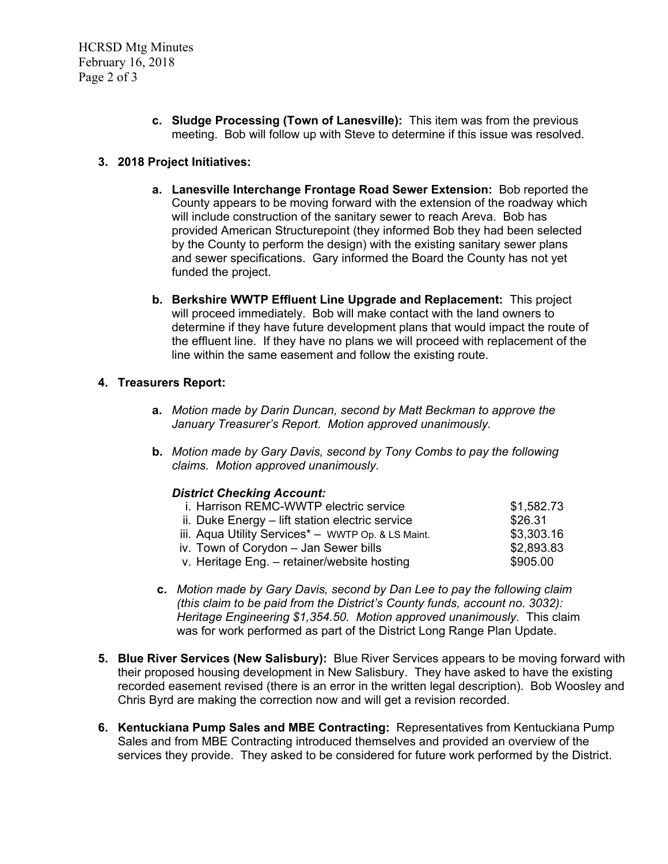HCRSD Mtg Minutes February 16, 2018 Page 2 of 3

> **c. Sludge Processing (Town of Lanesville):** This item was from the previous meeting. Bob will follow up with Steve to determine if this issue was resolved.

## **3. 2018 Project Initiatives:**

- **a. Lanesville Interchange Frontage Road Sewer Extension:** Bob reported the County appears to be moving forward with the extension of the roadway which will include construction of the sanitary sewer to reach Areva. Bob has provided American Structurepoint (they informed Bob they had been selected by the County to perform the design) with the existing sanitary sewer plans and sewer specifications. Gary informed the Board the County has not yet funded the project.
- **b. Berkshire WWTP Effluent Line Upgrade and Replacement:** This project will proceed immediately. Bob will make contact with the land owners to determine if they have future development plans that would impact the route of the effluent line. If they have no plans we will proceed with replacement of the line within the same easement and follow the existing route.

### **4. Treasurers Report:**

- **a.** *Motion made by Darin Duncan, second by Matt Beckman to approve the January Treasurer's Report. Motion approved unanimously.*
- **b.** *Motion made by Gary Davis, second by Tony Combs to pay the following claims. Motion approved unanimously.*

### *District Checking Account:*

| i. Harrison REMC-WWTP electric service                         | \$1,582.73 |
|----------------------------------------------------------------|------------|
| ii. Duke Energy – lift station electric service                | \$26.31    |
| iii. Aqua Utility Services <sup>*</sup> - WWTP Op. & LS Maint. | \$3,303.16 |
| iv. Town of Corydon – Jan Sewer bills                          | \$2,893.83 |
| v. Heritage Eng. - retainer/website hosting                    | \$905.00   |

- **c.** *Motion made by Gary Davis, second by Dan Lee to pay the following claim (this claim to be paid from the District's County funds, account no. 3032): Heritage Engineering \$1,354.50. Motion approved unanimously.* This claim was for work performed as part of the District Long Range Plan Update.
- **5. Blue River Services (New Salisbury):** Blue River Services appears to be moving forward with their proposed housing development in New Salisbury. They have asked to have the existing recorded easement revised (there is an error in the written legal description). Bob Woosley and Chris Byrd are making the correction now and will get a revision recorded.
- **6. Kentuckiana Pump Sales and MBE Contracting:** Representatives from Kentuckiana Pump Sales and from MBE Contracting introduced themselves and provided an overview of the services they provide. They asked to be considered for future work performed by the District.